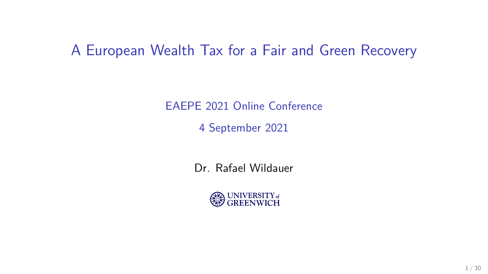#### A European Wealth Tax for a Fair and Green Recovery

EAEPE 2021 Online Conference

4 September 2021

Dr. Rafael Wildauer

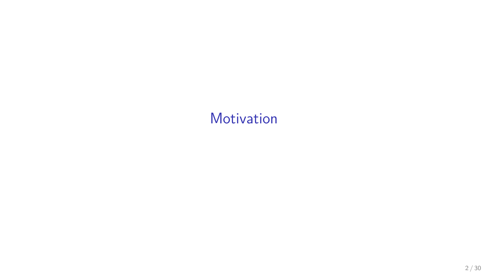## <span id="page-1-0"></span>[Motivation](#page-1-0)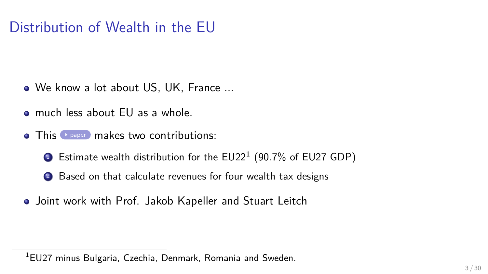## Distribution of Wealth in the EU

- We know a lot about US, UK, France ...
- much less about EU as a whole.
- $\bullet$  This  $\bullet$  [paper](https://www.feps-europe.eu/resources/publications/788-a-european-wealth-tax-for-a-fair-and-green-recovery.html) makes two contributions:
	- $\bullet$  Estimate wealth distribution for the EU22 $^1$  (90.7% of EU27 GDP)
	- <sup>2</sup> Based on that calculate revenues for four wealth tax designs
- Joint work with Prof. Jakob Kapeller and Stuart Leitch

<sup>&</sup>lt;sup>1</sup>EU27 minus Bulgaria, Czechia, Denmark, Romania and Sweden.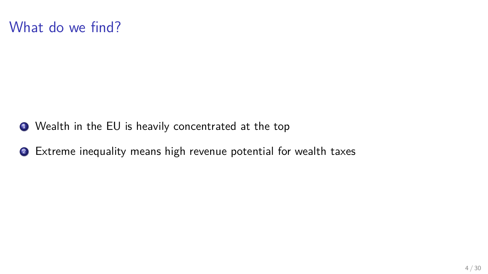

- <sup>1</sup> Wealth in the EU is heavily concentrated at the top
- <sup>2</sup> Extreme inequality means high revenue potential for wealth taxes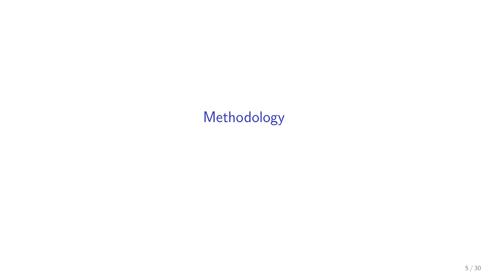# <span id="page-4-0"></span>[Methodology](#page-4-0)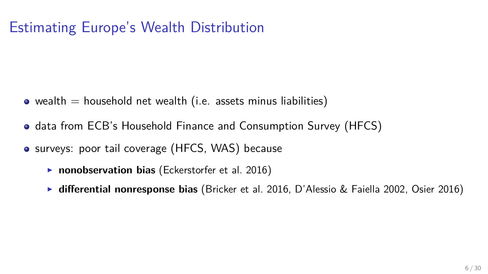## Estimating Europe's Wealth Distribution

- wealth  $=$  household net wealth (i.e. assets minus liabilities)
- data from ECB's Household Finance and Consumption Survey (HFCS)
- surveys: poor tail coverage (HFCS, WAS) because
	- **nonobservation bias** [\(Eckerstorfer et al. 2016\)](#page-25-0)
	- **differential nonresponse bias** [\(Bricker et al. 2016,](#page-24-0) [D'Alessio & Faiella 2002,](#page-24-1) [Osier 2016\)](#page-26-0)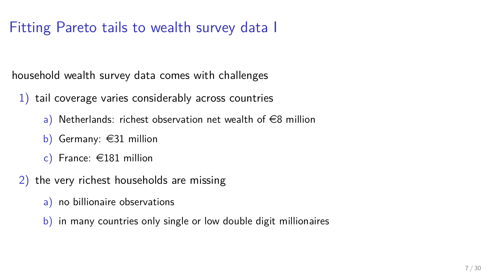## Fitting Pareto tails to wealth survey data I

household wealth survey data comes with challenges

- 1) tail coverage varies considerably across countries
	- a) Netherlands: richest observation net wealth of  $\in$ 8 million
	- b) Germany:  $\in$ 31 million
	- c) France:  $\in$ 181 million
- 2) the very richest households are missing
	- a) no billionaire observations
	- b) in many countries only single or low double digit millionaires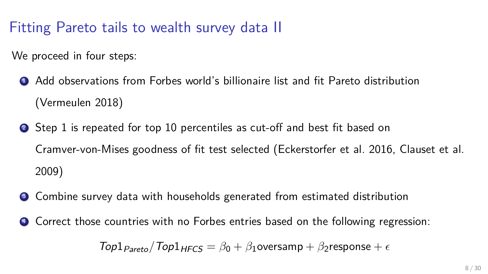## Fitting Pareto tails to wealth survey data II

We proceed in four steps:

- <sup>1</sup> Add observations from Forbes world's billionaire list and fit Pareto distribution [\(Vermeulen 2018\)](#page-26-1)
- <sup>2</sup> Step 1 is repeated for top 10 percentiles as cut-off and best fit based on Cramver-von-Mises goodness of fit test selected [\(Eckerstorfer et al. 2016,](#page-25-0) [Clauset et al.](#page-24-2) [2009\)](#page-24-2)
- **3** Combine survey data with households generated from estimated distribution
- <sup>4</sup> Correct those countries with no Forbes entries based on the following regression:

 $Top1_{Pareto}/Top1_{HFCS} = \beta_0 + \beta_1$ oversamp +  $\beta_2$ response +  $\epsilon$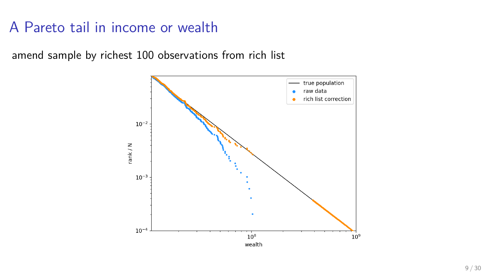#### A Pareto tail in income or wealth

amend sample by richest 100 observations from rich list

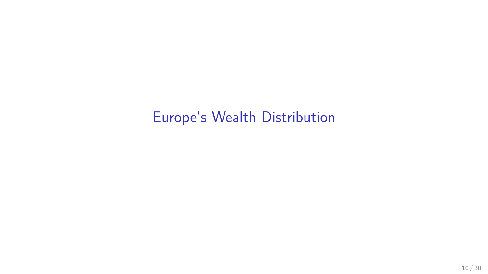# <span id="page-9-0"></span>[Europe's Wealth Distribution](#page-9-0)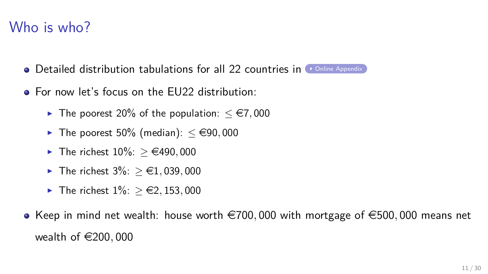#### Who is who?

- $\bullet$  Detailed distribution tabulations for all 22 countries in  $\bullet$  online Appendix
- For now let's focus on the EU22 distribution:
	- $\blacktriangleright$  The poorest 20% of the population:  $\leq$  €7,000
	- $\blacktriangleright$  The poorest 50% (median):  $\lt \epsilon$ 90,000
	- $\blacktriangleright$  The richest 10%: > €490,000
	- $\blacktriangleright$  The richest 3%: > €1,039,000
	- $\triangleright$  The richest  $1\%$ : > €2, 153, 000
- Keep in mind net wealth: house worth  $\epsilon$ 700,000 with mortgage of  $\epsilon$ 500,000 means net wealth of €200,000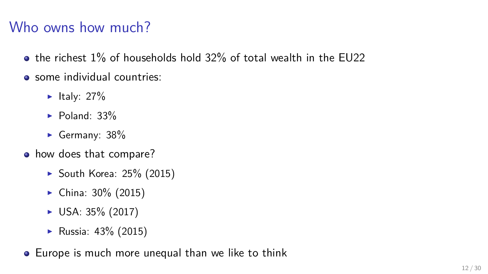# Who owns how much?

- $\bullet$  the richest 1% of households hold 32% of total wealth in the EU22
- **•** some individual countries:
	- $\blacktriangleright$  Italy: 27%
	- $\blacktriangleright$  Poland: 33%
	- Germany:  $38%$
- how does that compare?
	- $\blacktriangleright$  South Korea: 25% (2015)
	- $\blacktriangleright$  China: 30% (2015)
	- $\triangleright$  USA: 35% (2017)
	- **•** Russia:  $43\%$  (2015)
- Europe is much more unequal than we like to think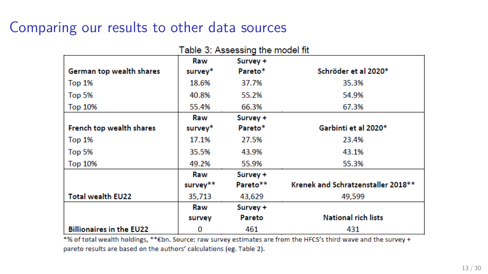#### Comparing our results to other data sources

|                                 | Raw      | Survey + |                                     |
|---------------------------------|----------|----------|-------------------------------------|
| German top wealth shares        | survey*  | Pareto*  | Schröder et al 2020*                |
| Top 1%                          | 18.6%    | 37.7%    | 35.3%                               |
| Top 5%                          | 40.8%    | 55.2%    | 54.9%                               |
| <b>Top 10%</b>                  | 55.4%    | 66.3%    | 67.3%                               |
|                                 | Raw      | Survey + |                                     |
| French top wealth shares        | survey*  | Pareto*  | Garbinti et al 2020*                |
| Top 1%                          | 17.1%    | 27.5%    | 23.4%                               |
| Top 5%                          | 35.5%    | 43.9%    | 43.1%                               |
| <b>Top 10%</b>                  | 49.2%    | 55.9%    | 55.3%                               |
|                                 | Raw      | Survey + |                                     |
|                                 | survey** | Pareto** | Krenek and Schratzenstaller 2018 ** |
| <b>Total wealth EU22</b>        | 35,713   | 43,629   | 49,599                              |
|                                 | Raw      | Survey + |                                     |
|                                 | survey   | Pareto   | <b>National rich lists</b>          |
| <b>Billionaires in the EU22</b> | 0        | 461      | 431                                 |

\*% of total wealth holdings, \*\* Ebn. Source: raw survey estimates are from the HFCS's third wave and the survey + pareto results are based on the authors' calculations (eg. Table 2).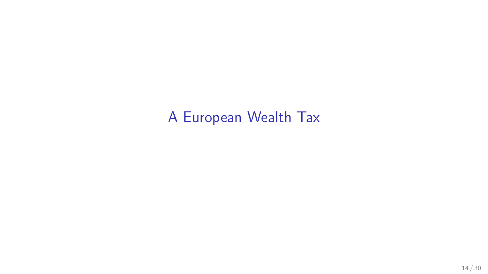# <span id="page-13-0"></span>[A European Wealth Tax](#page-13-0)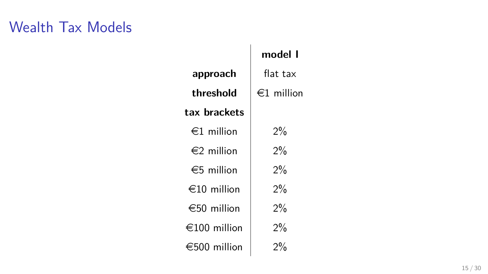|                       | model l         |  |
|-----------------------|-----------------|--|
| approach              | flat tax        |  |
| threshold             | $\in$ 1 million |  |
| tax brackets          |                 |  |
| $\in$ 1 million       | 2%              |  |
| $\epsilon$ 2 million  | 2%              |  |
| $\epsilon$ 5 million  | 2%              |  |
| $\in$ 10 million      | 2%              |  |
| $\epsilon$ 50 million | 2%              |  |
| €100 million          | 2%              |  |
| €500 million          | 2%              |  |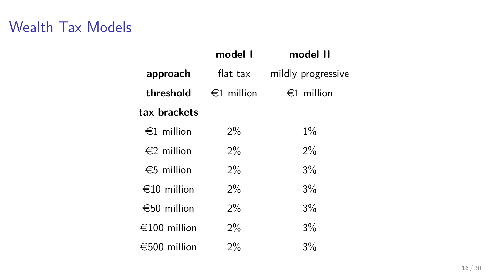|                       | model 1              | model II           |
|-----------------------|----------------------|--------------------|
| approach              | flat tax             | mildly progressive |
| threshold             | $\epsilon$ 1 million | $\in$ 1 million    |
| tax brackets          |                      |                    |
| $\epsilon$ 1 million  | $2\%$                | $1\%$              |
| $\epsilon$ 2 million  | $2\%$                | $2\%$              |
| $\epsilon$ 5 million  | $2\%$                | $3\%$              |
| $\epsilon$ 10 million | $2\%$                | $3\%$              |
| $\epsilon$ 50 million | $2\%$                | $3\%$              |
| €100 million          | 2%                   | 3%                 |
| €500 million          | 2%                   | 3%                 |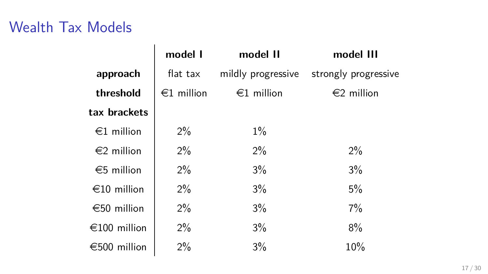|                      | model I         | model II             | model III                               |
|----------------------|-----------------|----------------------|-----------------------------------------|
| approach             | flat tax        |                      | mildly progressive strongly progressive |
| threshold            | $\in$ 1 million | $\epsilon$ 1 million | $\epsilon$ 2 million                    |
| tax brackets         |                 |                      |                                         |
| $\in$ 1 million      | $2\%$           | $1\%$                |                                         |
| $\epsilon$ 2 million | $2\%$           | $2\%$                | $2\%$                                   |
| $\epsilon$ 5 million | $2\%$           | 3%                   | 3%                                      |
| $\in$ 10 million     | $2\%$           | 3%                   | 5%                                      |
| €50 million          | $2\%$           | $3\%$                | $7\%$                                   |
| €100 million         | $2\%$           | 3%                   | 8%                                      |
| €500 million         | $2\%$           | 3%                   | 10%                                     |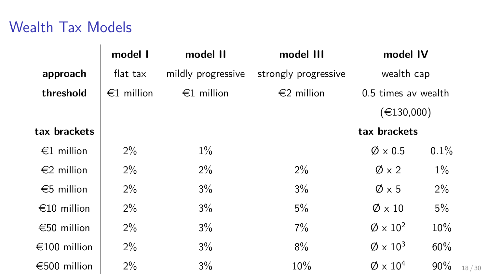|                      | model I              | model II             | model III                         | model IV                  |       |       |
|----------------------|----------------------|----------------------|-----------------------------------|---------------------------|-------|-------|
| approach             | flat tax             | mildly progressive   | strongly progressive              | wealth cap                |       |       |
| threshold            | $\epsilon$ 1 million | $\epsilon$ 1 million | €2 million<br>0.5 times av wealth |                           |       |       |
|                      |                      |                      |                                   | (€130,000)                |       |       |
| tax brackets         |                      |                      |                                   | tax brackets              |       |       |
| $\epsilon$ 1 million | $2\%$                | $1\%$                |                                   | $\varnothing \times 0.5$  | 0.1%  |       |
| $\epsilon$ 2 million | $2\%$                | $2\%$                | $2\%$                             | $\emptyset \times 2$      | $1\%$ |       |
| €5 million           | $2\%$                | 3%                   | 3%                                | $\emptyset \times 5$      | 2%    |       |
| €10 million          | 2%                   | 3%                   | 5%                                | $\emptyset \times 10$     | 5%    |       |
| €50 million          | $2\%$                | 3%                   | 7%                                | $\varnothing \times 10^2$ | 10%   |       |
| €100 million         | $2\%$                | 3%                   | 8%                                | $\varnothing \times 10^3$ | 60%   |       |
| €500 million         | 2%                   | 3%                   | 10%                               | $\varnothing \times 10^4$ | 90%   | 18/30 |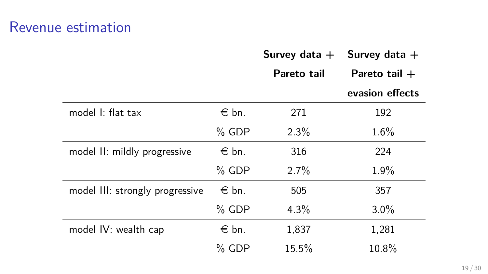#### Revenue estimation

|                                 |                | Survey data $+$ | Survey data $+$ |
|---------------------------------|----------------|-----------------|-----------------|
|                                 |                | Pareto tail     | Pareto tail $+$ |
|                                 |                |                 | evasion effects |
| model I: flat tax               | $\in$ bn.      | 271             | 192             |
|                                 | $%$ GDP        | 2.3%            | 1.6%            |
| model II: mildly progressive    | $\epsilon$ bn. | 316             | 224             |
|                                 | $%$ GDP        | 2.7%            | $1.9\%$         |
| model III: strongly progressive | $\in$ bn.      | 505             | 357             |
|                                 | $%$ GDP        | 4.3%            | $3.0\%$         |
| model IV: wealth cap            | $\epsilon$ bn. | 1,837           | 1,281           |
|                                 | $%$ GDP        | 15.5%           | 10.8%           |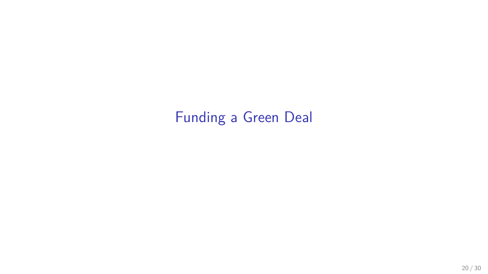# <span id="page-19-0"></span>[Funding a Green Deal](#page-19-0)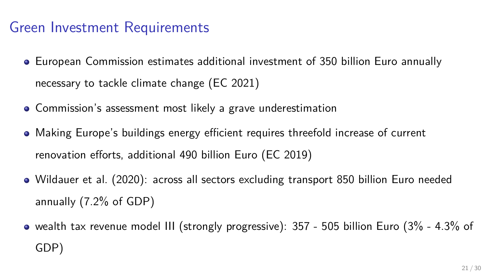#### Green Investment Requirements

- European Commission estimates additional investment of 350 billion Euro annually necessary to tackle climate change [\(EC 2021\)](#page-25-1)
- Commission's assessment most likely a grave underestimation
- Making Europe's buildings energy efficient requires threefold increase of current renovation efforts, additional 490 billion Euro [\(EC 2019\)](#page-25-2)
- [Wildauer et al. \(2020\)](#page-26-2): across all sectors excluding transport 850 billion Euro needed annually (7.2% of GDP)
- wealth tax revenue model III (strongly progressive): 357 505 billion Euro (3% 4.3% of GDP)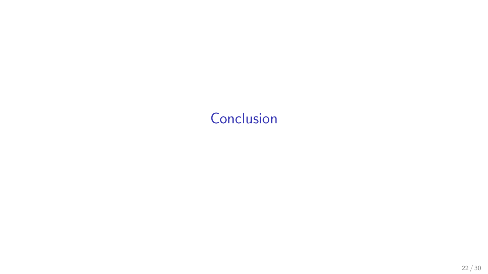## <span id="page-21-0"></span>**[Conclusion](#page-21-0)**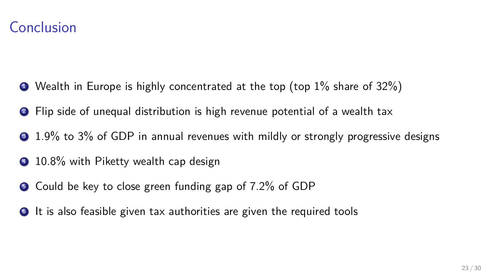

- $\bullet$  Wealth in Europe is highly concentrated at the top (top  $1\%$  share of  $32\%)$ )
- <sup>2</sup> Flip side of unequal distribution is high revenue potential of a wealth tax
- **3** 1.9% to 3% of GDP in annual revenues with mildly or strongly progressive designs
- <sup>4</sup> 10.8% with Piketty wealth cap design
- <sup>5</sup> Could be key to close green funding gap of 7.2% of GDP
- **•** It is also feasible given tax authorities are given the required tools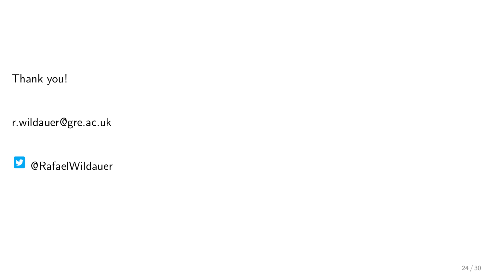Thank you!

r.wildauer@gre.ac.uk

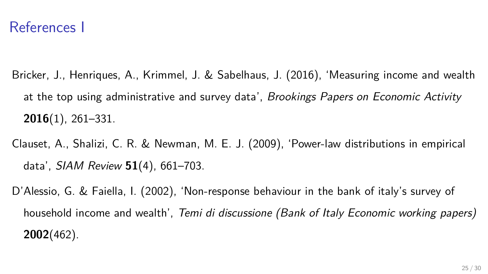#### References I

- <span id="page-24-0"></span>Bricker, J., Henriques, A., Krimmel, J. & Sabelhaus, J. (2016), 'Measuring income and wealth at the top using administrative and survey data', Brookings Papers on Economic Activity **2016**(1), 261–331.
- <span id="page-24-2"></span>Clauset, A., Shalizi, C. R. & Newman, M. E. J. (2009), 'Power-law distributions in empirical data', SIAM Review **51**(4), 661–703.
- <span id="page-24-1"></span>D'Alessio, G. & Faiella, I. (2002), 'Non-response behaviour in the bank of italy's survey of household income and wealth', Temi di discussione (Bank of Italy Economic working papers) **2002**(462).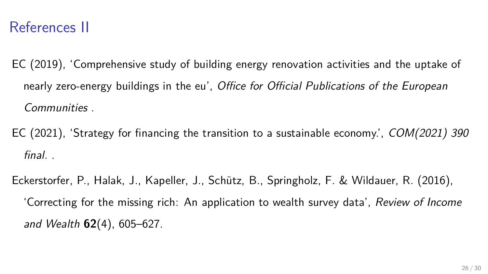#### References II

- <span id="page-25-2"></span>EC (2019), 'Comprehensive study of building energy renovation activities and the uptake of nearly zero-energy buildings in the eu', Office for Official Publications of the European Communities .
- <span id="page-25-1"></span>EC (2021), 'Strategy for financing the transition to a sustainable economy.', COM(2021) 390 final. .
- <span id="page-25-0"></span>Eckerstorfer, P., Halak, J., Kapeller, J., Schutz, B., Springholz, F. & Wildauer, R. (2016), ¨ 'Correcting for the missing rich: An application to wealth survey data', Review of Income and Wealth **62**(4), 605–627.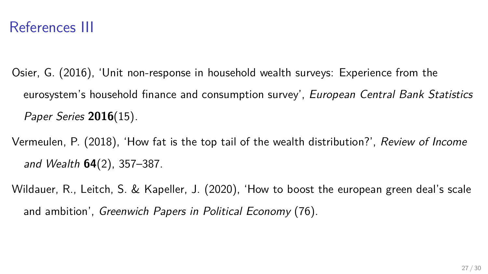#### References III

- <span id="page-26-0"></span>Osier, G. (2016), 'Unit non-response in household wealth surveys: Experience from the eurosystem's household finance and consumption survey', European Central Bank Statistics Paper Series **2016**(15).
- <span id="page-26-1"></span>Vermeulen, P. (2018), 'How fat is the top tail of the wealth distribution?', Review of Income and Wealth **64**(2), 357–387.
- <span id="page-26-2"></span>Wildauer, R., Leitch, S. & Kapeller, J. (2020), 'How to boost the european green deal's scale and ambition', Greenwich Papers in Political Economy (76).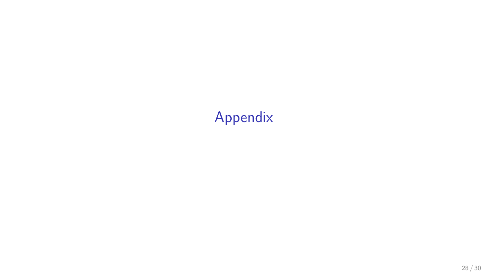# <span id="page-27-0"></span>[Appendix](#page-27-0)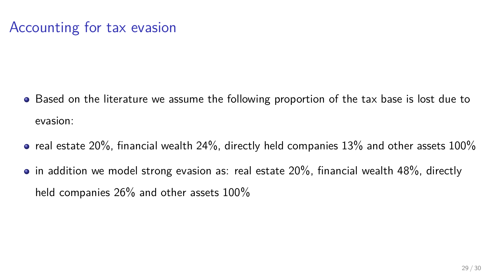#### Accounting for tax evasion

- Based on the literature we assume the following proportion of the tax base is lost due to evasion:
- $\bullet$  real estate 20%, financial wealth 24%, directly held companies 13% and other assets 100%
- $\bullet$  in addition we model strong evasion as: real estate 20%, financial wealth 48%, directly held companies 26% and other assets 100%